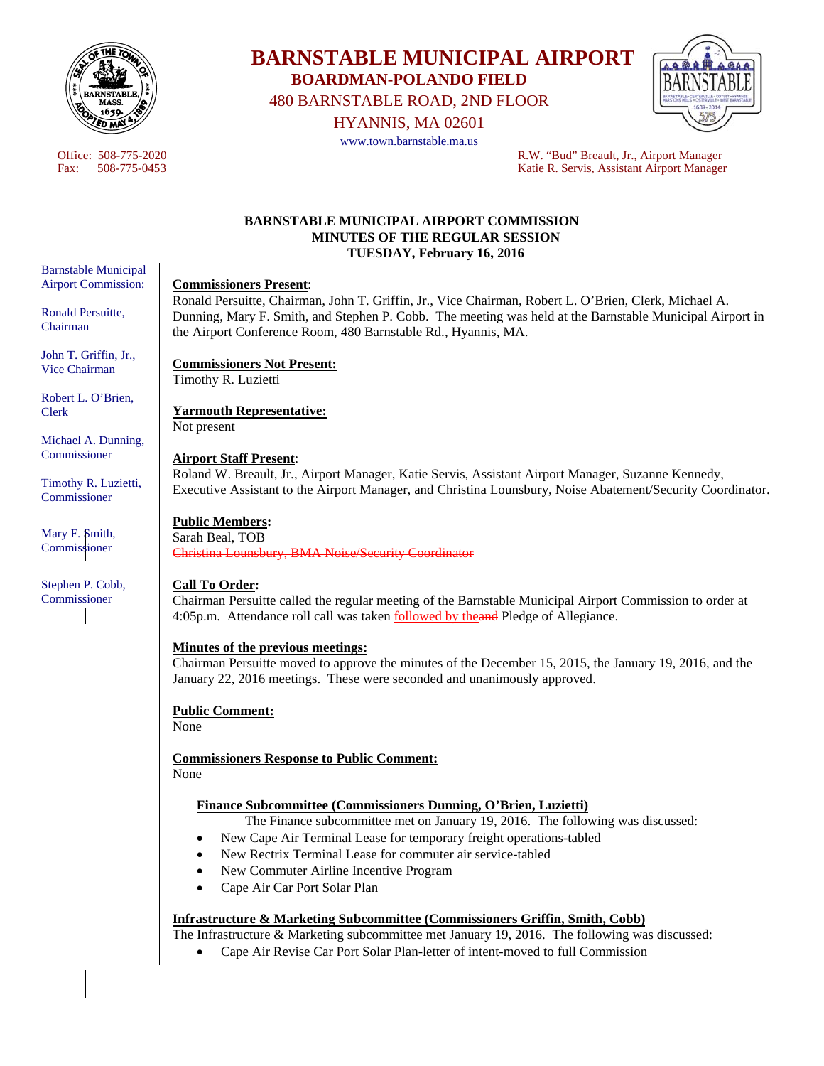

# **BARNSTABLE MUNICIPAL AIRPORT BOARDMAN-POLANDO FIELD**

480 BARNSTABLE ROAD, 2ND FLOOR

HYANNIS, MA 02601

www.town.barnstable.ma.us



Office: 508-775-2020<br>
Fax: 508-775-0453<br>
R.W. "Bud" Breault, Jr., Airport Manager<br>
Ratie R. Servis. Assistant Airport Manager Katie R. Servis, Assistant Airport Manager

#### **BARNSTABLE MUNICIPAL AIRPORT COMMISSION MINUTES OF THE REGULAR SESSION TUESDAY, February 16, 2016**

#### **Commissioners Present**:

Ronald Persuitte, Chairman, John T. Griffin, Jr., Vice Chairman, Robert L. O'Brien, Clerk, Michael A. Dunning, Mary F. Smith, and Stephen P. Cobb. The meeting was held at the Barnstable Municipal Airport in the Airport Conference Room, 480 Barnstable Rd., Hyannis, MA.

#### **Commissioners Not Present:**  Timothy R. Luzietti

**Yarmouth Representative:**  Not present

#### **Airport Staff Present**:

Roland W. Breault, Jr., Airport Manager, Katie Servis, Assistant Airport Manager, Suzanne Kennedy, Executive Assistant to the Airport Manager, and Christina Lounsbury, Noise Abatement/Security Coordinator.

#### **Public Members:**

Sarah Beal, TOB Christina Lounsbury, BMA Noise/Security Coordinator

#### **Call To Order:**

Chairman Persuitte called the regular meeting of the Barnstable Municipal Airport Commission to order at 4:05p.m. Attendance roll call was taken **followed by theand Pledge of Allegiance**.

#### **Minutes of the previous meetings:**

Chairman Persuitte moved to approve the minutes of the December 15, 2015, the January 19, 2016, and the January 22, 2016 meetings. These were seconded and unanimously approved.

#### **Public Comment:**

None

**Commissioners Response to Public Comment:**  None

#### **Finance Subcommittee (Commissioners Dunning, O'Brien, Luzietti)**

The Finance subcommittee met on January 19, 2016. The following was discussed:

- New Cape Air Terminal Lease for temporary freight operations-tabled
- New Rectrix Terminal Lease for commuter air service-tabled
- New Commuter Airline Incentive Program
- Cape Air Car Port Solar Plan

#### **Infrastructure & Marketing Subcommittee (Commissioners Griffin, Smith, Cobb)**

The Infrastructure & Marketing subcommittee met January 19, 2016. The following was discussed:

Cape Air Revise Car Port Solar Plan-letter of intent-moved to full Commission

Barnstable Municipal Airport Commission:

Ronald Persuitte, Chairman

John T. Griffin, Jr., Vice Chairman

Robert L. O'Brien, Clerk

Michael A. Dunning, **Commissioner** 

Timothy R. Luzietti, Commissioner

Mary F. Smith, Commissioner

Stephen P. Cobb, Commissioner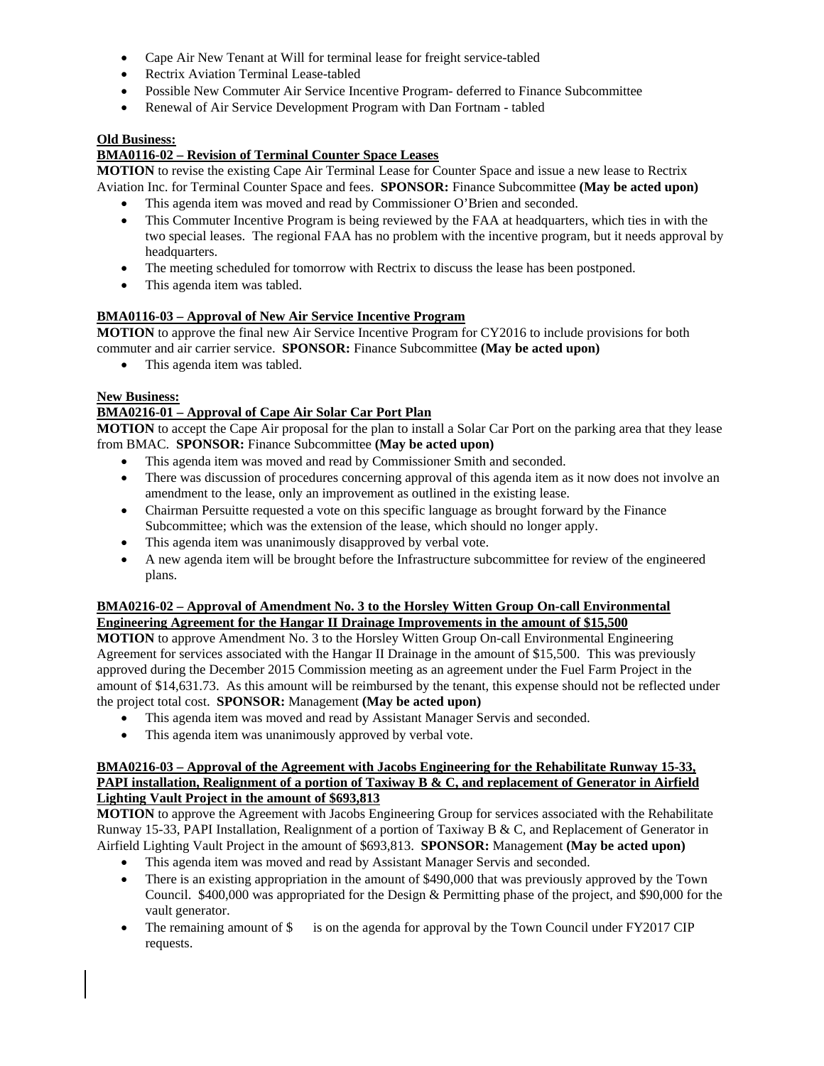- Cape Air New Tenant at Will for terminal lease for freight service-tabled
- Rectrix Aviation Terminal Lease-tabled
- Possible New Commuter Air Service Incentive Program- deferred to Finance Subcommittee
- Renewal of Air Service Development Program with Dan Fortnam tabled

#### **Old Business:**

### **BMA0116-02 – Revision of Terminal Counter Space Leases**

**MOTION** to revise the existing Cape Air Terminal Lease for Counter Space and issue a new lease to Rectrix

Aviation Inc. for Terminal Counter Space and fees. **SPONSOR:** Finance Subcommittee **(May be acted upon)**

- This agenda item was moved and read by Commissioner O'Brien and seconded.
- This Commuter Incentive Program is being reviewed by the FAA at headquarters, which ties in with the two special leases. The regional FAA has no problem with the incentive program, but it needs approval by headquarters.
- The meeting scheduled for tomorrow with Rectrix to discuss the lease has been postponed.
- This agenda item was tabled.

#### **BMA0116-03 – Approval of New Air Service Incentive Program**

**MOTION** to approve the final new Air Service Incentive Program for CY2016 to include provisions for both commuter and air carrier service. **SPONSOR:** Finance Subcommittee **(May be acted upon)** 

• This agenda item was tabled.

#### **New Business:**

#### **BMA0216-01 – Approval of Cape Air Solar Car Port Plan**

**MOTION** to accept the Cape Air proposal for the plan to install a Solar Car Port on the parking area that they lease from BMAC. **SPONSOR:** Finance Subcommittee **(May be acted upon)** 

- This agenda item was moved and read by Commissioner Smith and seconded.
- There was discussion of procedures concerning approval of this agenda item as it now does not involve an amendment to the lease, only an improvement as outlined in the existing lease.
- Chairman Persuitte requested a vote on this specific language as brought forward by the Finance Subcommittee; which was the extension of the lease, which should no longer apply.
- This agenda item was unanimously disapproved by verbal vote.
- A new agenda item will be brought before the Infrastructure subcommittee for review of the engineered plans.

#### **BMA0216-02 – Approval of Amendment No. 3 to the Horsley Witten Group On-call Environmental Engineering Agreement for the Hangar II Drainage Improvements in the amount of \$15,500**

**MOTION** to approve Amendment No. 3 to the Horsley Witten Group On-call Environmental Engineering Agreement for services associated with the Hangar II Drainage in the amount of \$15,500. This was previously approved during the December 2015 Commission meeting as an agreement under the Fuel Farm Project in the amount of \$14,631.73. As this amount will be reimbursed by the tenant, this expense should not be reflected under the project total cost. **SPONSOR:** Management **(May be acted upon)** 

- This agenda item was moved and read by Assistant Manager Servis and seconded.
- This agenda item was unanimously approved by verbal vote.

#### **BMA0216-03 – Approval of the Agreement with Jacobs Engineering for the Rehabilitate Runway 15-33, PAPI installation, Realignment of a portion of Taxiway B & C, and replacement of Generator in Airfield Lighting Vault Project in the amount of \$693,813**

**MOTION** to approve the Agreement with Jacobs Engineering Group for services associated with the Rehabilitate Runway 15-33, PAPI Installation, Realignment of a portion of Taxiway B & C, and Replacement of Generator in Airfield Lighting Vault Project in the amount of \$693,813. **SPONSOR:** Management **(May be acted upon)** 

- This agenda item was moved and read by Assistant Manager Servis and seconded.
- There is an existing appropriation in the amount of \$490,000 that was previously approved by the Town Council. \$400,000 was appropriated for the Design & Permitting phase of the project, and \$90,000 for the vault generator.
- The remaining amount of  $\$\$ is on the agenda for approval by the Town Council under FY2017 CIP requests.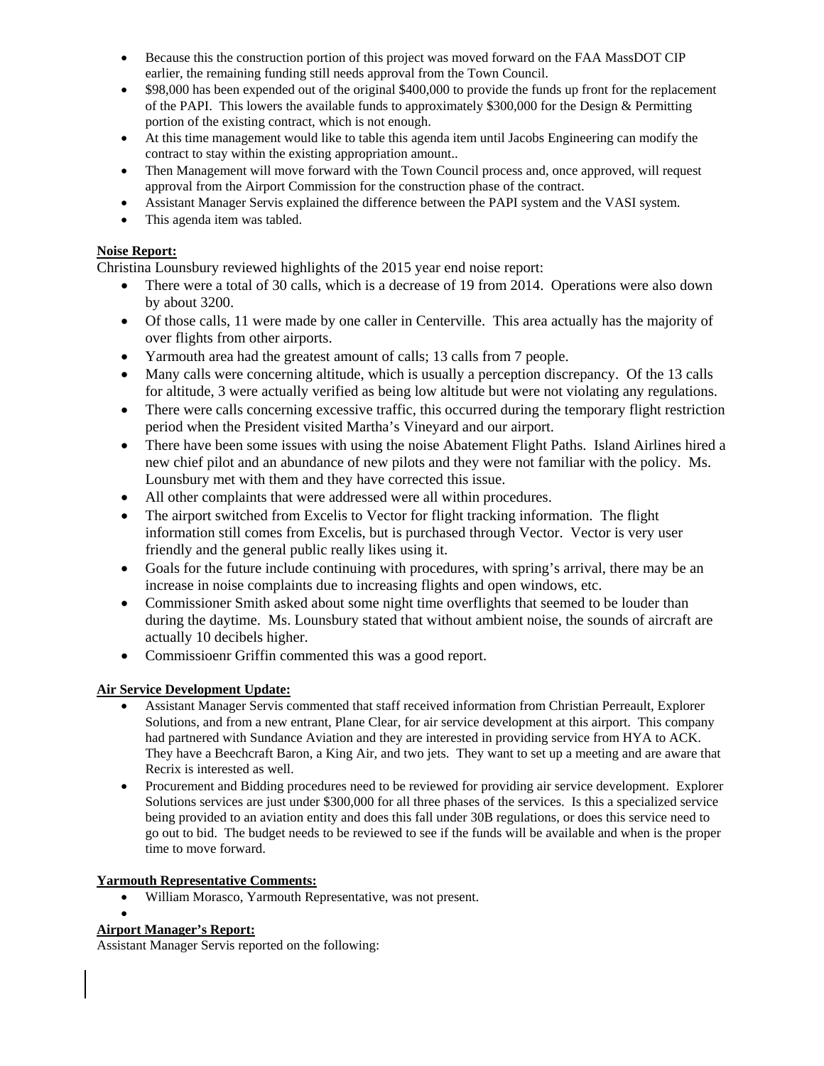- Because this the construction portion of this project was moved forward on the FAA MassDOT CIP earlier, the remaining funding still needs approval from the Town Council.
- \$98,000 has been expended out of the original \$400,000 to provide the funds up front for the replacement of the PAPI. This lowers the available funds to approximately \$300,000 for the Design & Permitting portion of the existing contract, which is not enough.
- At this time management would like to table this agenda item until Jacobs Engineering can modify the contract to stay within the existing appropriation amount..
- Then Management will move forward with the Town Council process and, once approved, will request approval from the Airport Commission for the construction phase of the contract.
- Assistant Manager Servis explained the difference between the PAPI system and the VASI system.
- This agenda item was tabled.

### **Noise Report:**

Christina Lounsbury reviewed highlights of the 2015 year end noise report:

- There were a total of 30 calls, which is a decrease of 19 from 2014. Operations were also down by about 3200.
- Of those calls, 11 were made by one caller in Centerville. This area actually has the majority of over flights from other airports.
- Yarmouth area had the greatest amount of calls; 13 calls from 7 people.
- Many calls were concerning altitude, which is usually a perception discrepancy. Of the 13 calls for altitude, 3 were actually verified as being low altitude but were not violating any regulations.
- There were calls concerning excessive traffic, this occurred during the temporary flight restriction period when the President visited Martha's Vineyard and our airport.
- There have been some issues with using the noise Abatement Flight Paths. Island Airlines hired a new chief pilot and an abundance of new pilots and they were not familiar with the policy. Ms. Lounsbury met with them and they have corrected this issue.
- All other complaints that were addressed were all within procedures.
- The airport switched from Excelis to Vector for flight tracking information. The flight information still comes from Excelis, but is purchased through Vector. Vector is very user friendly and the general public really likes using it.
- Goals for the future include continuing with procedures, with spring's arrival, there may be an increase in noise complaints due to increasing flights and open windows, etc.
- Commissioner Smith asked about some night time overflights that seemed to be louder than during the daytime. Ms. Lounsbury stated that without ambient noise, the sounds of aircraft are actually 10 decibels higher.
- Commissioenr Griffin commented this was a good report.

#### **Air Service Development Update:**

- Assistant Manager Servis commented that staff received information from Christian Perreault, Explorer Solutions, and from a new entrant, Plane Clear, for air service development at this airport. This company had partnered with Sundance Aviation and they are interested in providing service from HYA to ACK. They have a Beechcraft Baron, a King Air, and two jets. They want to set up a meeting and are aware that Recrix is interested as well.
- Procurement and Bidding procedures need to be reviewed for providing air service development. Explorer Solutions services are just under \$300,000 for all three phases of the services. Is this a specialized service being provided to an aviation entity and does this fall under 30B regulations, or does this service need to go out to bid. The budget needs to be reviewed to see if the funds will be available and when is the proper time to move forward.

#### **Yarmouth Representative Comments:**

William Morasco, Yarmouth Representative, was not present.

## $\bullet$

## **Airport Manager's Report:**

Assistant Manager Servis reported on the following: